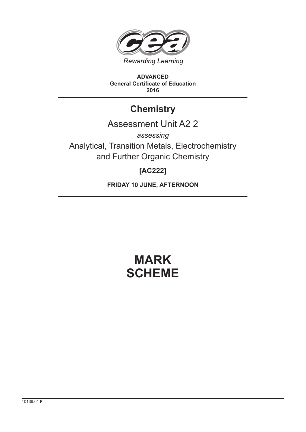

**ADVANCED General Certificate of Education 2016**

## **Chemistry**

## Assessment Unit A2 2

*assessing* Analytical, Transition Metals, Electrochemistry and Further Organic Chemistry

### **[AC222]**

**FRIDAY 10 JUNE, AFTERNOON**

# **MARK SCHEME**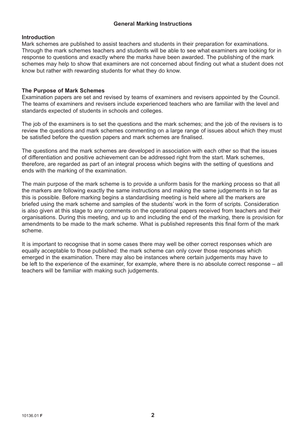### **General Marking Instructions**

### **Introduction**

Mark schemes are published to assist teachers and students in their preparation for examinations. Through the mark schemes teachers and students will be able to see what examiners are looking for in response to questions and exactly where the marks have been awarded. The publishing of the mark schemes may help to show that examiners are not concerned about finding out what a student does not know but rather with rewarding students for what they do know.

### **The Purpose of Mark Schemes**

Examination papers are set and revised by teams of examiners and revisers appointed by the Council. The teams of examiners and revisers include experienced teachers who are familiar with the level and standards expected of students in schools and colleges.

The job of the examiners is to set the questions and the mark schemes; and the job of the revisers is to review the questions and mark schemes commenting on a large range of issues about which they must be satisfied before the question papers and mark schemes are finalised.

The questions and the mark schemes are developed in association with each other so that the issues of differentiation and positive achievement can be addressed right from the start. Mark schemes, therefore, are regarded as part of an integral process which begins with the setting of questions and ends with the marking of the examination.

The main purpose of the mark scheme is to provide a uniform basis for the marking process so that all the markers are following exactly the same instructions and making the same judgements in so far as this is possible. Before marking begins a standardising meeting is held where all the markers are briefed using the mark scheme and samples of the students' work in the form of scripts. Consideration is also given at this stage to any comments on the operational papers received from teachers and their organisations. During this meeting, and up to and including the end of the marking, there is provision for amendments to be made to the mark scheme. What is published represents this final form of the mark scheme.

It is important to recognise that in some cases there may well be other correct responses which are equally acceptable to those published: the mark scheme can only cover those responses which emerged in the examination. There may also be instances where certain judgements may have to be left to the experience of the examiner, for example, where there is no absolute correct response – all teachers will be familiar with making such judgements.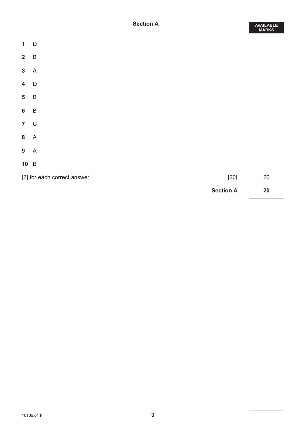|                         | <b>Section A</b>                      | AVAILABLE<br>MARKS |
|-------------------------|---------------------------------------|--------------------|
|                         | $1\quad D$                            |                    |
| $2 \quad B$             |                                       |                    |
| $\mathbf{3}$            | $\overline{A}$                        |                    |
| $\overline{\mathbf{4}}$ | $\mathsf{D}$                          |                    |
| $5\phantom{a}$          | $\overline{B}$                        |                    |
| $6\phantom{a}$          | $\overline{B}$                        |                    |
|                         | 7 C                                   |                    |
|                         | 8A                                    |                    |
| 9A                      |                                       |                    |
|                         | 10 B                                  |                    |
|                         | [2] for each correct answer<br>$[20]$ | $20\,$             |
|                         | <b>Section A</b>                      | 20                 |
|                         |                                       |                    |
|                         |                                       |                    |
|                         |                                       |                    |
|                         |                                       |                    |
|                         |                                       |                    |
|                         |                                       |                    |
|                         |                                       |                    |
|                         |                                       |                    |
|                         |                                       |                    |
|                         |                                       |                    |
|                         |                                       |                    |
|                         |                                       |                    |
|                         |                                       |                    |
|                         |                                       |                    |
|                         |                                       |                    |
|                         | $\mathbf{3}$<br>10136.01 F            |                    |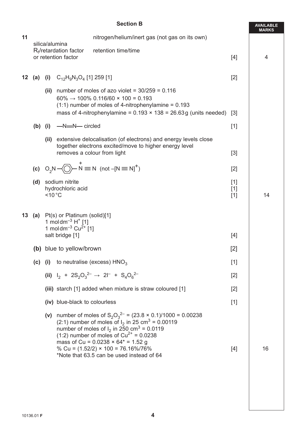|    | <b>Section B</b>                               |                                                                                                                                                         |                                       |                                                                                                                                                                                                                                                                                                                                                                                                           |                         | <b>AVAILABLE</b><br><b>MARKS</b> |
|----|------------------------------------------------|---------------------------------------------------------------------------------------------------------------------------------------------------------|---------------------------------------|-----------------------------------------------------------------------------------------------------------------------------------------------------------------------------------------------------------------------------------------------------------------------------------------------------------------------------------------------------------------------------------------------------------|-------------------------|----------------------------------|
| 11 | nitrogen/helium/inert gas (not gas on its own) |                                                                                                                                                         |                                       |                                                                                                                                                                                                                                                                                                                                                                                                           |                         |                                  |
|    |                                                | silica/alumina<br>$R_f$ /retardation factor<br>or retention factor                                                                                      |                                       | retention time/time                                                                                                                                                                                                                                                                                                                                                                                       | $[4]$                   | 4                                |
| 12 |                                                |                                                                                                                                                         | (a) (i) $C_{12}H_9N_3O_4$ [1] 259 [1] |                                                                                                                                                                                                                                                                                                                                                                                                           | $[2]$                   |                                  |
|    |                                                | (ii)                                                                                                                                                    |                                       | number of moles of azo violet = $30/259 = 0.116$<br>$60\% \rightarrow 100\%$ 0.116/60 × 100 = 0.193<br>$(1:1)$ number of moles of 4-nitrophenylamine = 0.193<br>mass of 4-nitrophenylamine = $0.193 \times 138 = 26.63g$ (units needed)                                                                                                                                                                   | $\lceil 3 \rceil$       |                                  |
|    | $(b)$ (i)                                      |                                                                                                                                                         | -N=N-circled                          |                                                                                                                                                                                                                                                                                                                                                                                                           | $[1]$                   |                                  |
|    |                                                |                                                                                                                                                         |                                       | (ii) extensive delocalisation (of electrons) and energy levels close<br>together electrons excited/move to higher energy level<br>removes a colour from light                                                                                                                                                                                                                                             | $[3]$                   |                                  |
|    |                                                |                                                                                                                                                         |                                       | (c) $O_2N \rightarrow \bigcirc N \equiv N$ (not $-[N \equiv N]^+$ )                                                                                                                                                                                                                                                                                                                                       | $[2]$                   |                                  |
|    |                                                | (d) sodium nitrite<br>hydrochloric acid<br>$<$ 10 $^{\circ}$ C                                                                                          |                                       |                                                                                                                                                                                                                                                                                                                                                                                                           | $[1]$<br>$[1]$<br>$[1]$ | 14                               |
|    |                                                | <b>13</b> (a) Pt(s) or Platinum (solid)[1]<br>1 moldm <sup>-3</sup> $H^+$ [1]<br>1 moldm <sup>-3</sup> Cu <sup>2+</sup> [1]<br>salt bridge [1]<br>$[4]$ |                                       |                                                                                                                                                                                                                                                                                                                                                                                                           |                         |                                  |
|    |                                                | (b) blue to yellow/brown                                                                                                                                |                                       | $[2]$                                                                                                                                                                                                                                                                                                                                                                                                     |                         |                                  |
|    |                                                |                                                                                                                                                         |                                       | (c) (i) to neutralise (excess) $HNO3$                                                                                                                                                                                                                                                                                                                                                                     | $[1]$                   |                                  |
|    |                                                |                                                                                                                                                         |                                       | (ii) $I_2$ + $2S_2O_3^{2-}$ $\rightarrow$ $2I^-$ + $S_4O_6^{2-}$                                                                                                                                                                                                                                                                                                                                          | $[2]$                   |                                  |
|    |                                                |                                                                                                                                                         |                                       | (iii) starch [1] added when mixture is straw coloured [1]                                                                                                                                                                                                                                                                                                                                                 | $[2]$                   |                                  |
|    |                                                |                                                                                                                                                         | (iv) blue-black to colourless         |                                                                                                                                                                                                                                                                                                                                                                                                           | $[1]$                   |                                  |
|    |                                                |                                                                                                                                                         |                                       | (v) number of moles of $S_2O_3^{2-} = (23.8 \times 0.1)/1000 = 0.00238$<br>(2:1) number of moles of $I_2$ in 25 cm <sup>3</sup> = 0.00119<br>number of moles of $I_2$ in 250 cm <sup>3</sup> = 0.0119<br>(1:2) number of moles of $Cu^{2+} = 0.0238$<br>mass of Cu = $0.0238 \times 64$ <sup>*</sup> = 1.52 g<br>% Cu = $(1.52/2) \times 100 = 76.16\%/76\%$<br>*Note that 63.5 can be used instead of 64 | $[4]$                   | 16                               |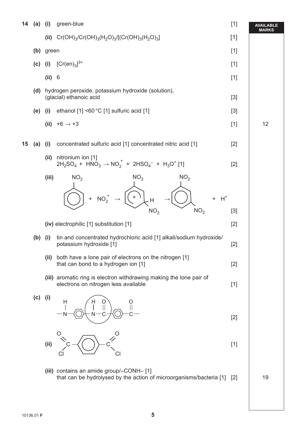| 14 | (a)       | (i)       | green-blue                                                                                                     | $[1]$             | <b>AVAILABLE</b><br><b>MARKS</b> |
|----|-----------|-----------|----------------------------------------------------------------------------------------------------------------|-------------------|----------------------------------|
|    |           |           | (ii) $Cr(OH)_{3}/Cr(OH)_{3}(H_{2}O)_{3}/[(Cr(OH)_{3}(H_{2}O)_{3}]$                                             | $[1]$             |                                  |
|    |           | (b) green |                                                                                                                |                   |                                  |
|    | $(c)$ (i) |           | $[Cr(en)3]^{3+}$                                                                                               | $[1]$             |                                  |
|    |           | (ii)      | $6\phantom{1}6$                                                                                                | $[1]$             |                                  |
|    | (d)       |           | hydrogen peroxide, potassium hydroxide (solution),<br>(glacial) ethanoic acid                                  | $[3]$             |                                  |
|    | (e)       | (i)       | ethanol [1] <60 °C [1] sulfuric acid [1]                                                                       | $[3]$             |                                  |
|    |           |           | (ii) $+6 \rightarrow +3$                                                                                       | $[1]$             | 12                               |
| 15 | (a)       | (i)       | concentrated sulfuric acid [1] concentrated nitric acid [1]                                                    | $[2]$             |                                  |
|    |           | (ii)      | nitronium ion [1]<br>$2H_2SO_4 + HNO_3 \rightarrow NO_2^+ + 2HSO_4^- + H_3O^+$ [1]                             | $[2]$             |                                  |
|    |           | (iii)     | NO <sub>2</sub><br>NO <sub>2</sub><br>NO <sub>2</sub>                                                          |                   |                                  |
|    |           |           | $+$<br>+ $NO_2^+$<br>$H^+$<br>$\ddot{}$<br>H<br>NO <sub>2</sub><br>NO <sub>2</sub>                             | $[3]$             |                                  |
|    |           |           | (iv) electrophilic [1] substitution [1]                                                                        | $[2]$             |                                  |
|    | $(b)$ (i) |           | tin and concentrated hydrochloric acid [1] alkali/sodium hydroxide/<br>potassium hydroxide [1]                 | $[2]$             |                                  |
|    |           |           | (ii) both have a lone pair of electrons on the nitrogen [1]<br>that can bond to a hydrogen ion [1]             | $[2]$             |                                  |
|    |           |           | (iii) aromatic ring is electron withdrawing making the lone pair of<br>electrons on nitrogen less available    | $[1]$             |                                  |
|    | $(c)$ (i) |           | Н                                                                                                              | $[2]$             |                                  |
|    |           | (ii)      |                                                                                                                | $[1]$             |                                  |
|    |           |           | (iii) contains an amide group/-CONH-[1]<br>that can be hydrolysed by the action of microorganisms/bacteria [1] | $\lceil 2 \rceil$ | 19                               |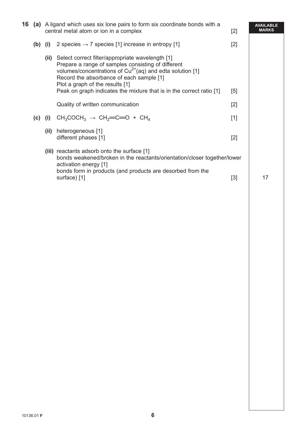| 16 |           |      | (a) A ligand which uses six lone pairs to form six coordinate bonds with a<br>central metal atom or ion in a complex                                                                                                                                        | $[2]$ | <b>AVAILABLE</b><br><b>MARKS</b> |
|----|-----------|------|-------------------------------------------------------------------------------------------------------------------------------------------------------------------------------------------------------------------------------------------------------------|-------|----------------------------------|
|    | $(b)$ (i) |      | 2 species $\rightarrow$ 7 species [1] increase in entropy [1]                                                                                                                                                                                               | $[2]$ |                                  |
|    |           |      | (ii) Select correct filter/appropriate wavelength [1]<br>Prepare a range of samples consisting of different<br>volumes/concentrations of $Cu^{2+}(aq)$ and edta solution [1]<br>Record the absorbance of each sample [1]<br>Plot a graph of the results [1] |       |                                  |
|    |           |      | Peak on graph indicates the mixture that is in the correct ratio [1]                                                                                                                                                                                        | [5]   |                                  |
|    |           |      | Quality of written communication                                                                                                                                                                                                                            | $[2]$ |                                  |
|    | $(c)$ (i) |      | $CH_3COCH_3 \rightarrow CH_2=CD + CH_4$                                                                                                                                                                                                                     | $[1]$ |                                  |
|    |           | (ii) | heterogeneous [1]<br>different phases [1]                                                                                                                                                                                                                   | $[2]$ |                                  |
|    |           |      | (iii) reactants adsorb onto the surface [1]<br>bonds weakened/broken in the reactants/orientation/closer together/lower<br>activation energy [1]<br>bonds form in products (and products are desorbed from the                                              |       |                                  |
|    |           |      | surface) [1]                                                                                                                                                                                                                                                | $[3]$ | 17                               |